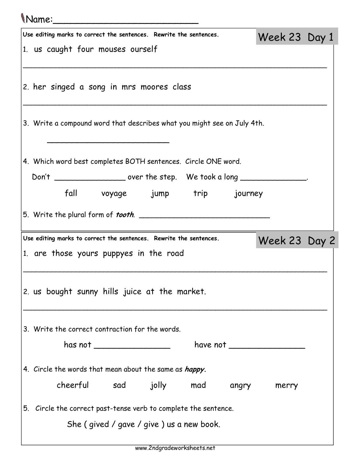## Name:\_\_\_\_\_\_\_\_\_\_\_\_\_\_\_\_\_\_\_\_\_\_\_\_\_ Use editing marks to correct the sentences. Rewrite the sentences. 1. us caught four mouses ourself \_\_\_\_\_\_\_\_\_\_\_\_\_\_\_\_\_\_\_\_\_\_\_\_\_\_\_\_\_\_\_\_\_\_\_\_\_\_\_\_\_\_\_\_\_\_\_\_\_\_\_\_\_\_\_\_\_\_\_\_\_\_\_\_\_\_\_\_\_\_\_\_\_\_\_\_ 2. her singed a song in mrs moores class \_\_\_\_\_\_\_\_\_\_\_\_\_\_\_\_\_\_\_\_\_\_\_\_\_\_\_\_\_\_\_\_\_\_\_\_\_\_\_\_\_\_\_\_\_\_\_\_\_\_\_\_\_\_\_\_\_\_\_\_\_\_\_\_\_\_\_\_\_\_\_\_\_\_\_\_ 3. Write a compound word that describes what you might see on July 4th.  $\overline{\phantom{a}}$ 4. Which word best completes BOTH sentences. Circle ONE word. Don't \_\_\_\_\_\_\_\_\_\_\_\_\_\_\_\_\_\_\_\_\_\_ over the step. We took a long \_\_\_\_\_\_\_\_\_\_\_\_\_\_\_\_\_\_\_\_\_ fall voyage jump trip journey 5. Write the plural form of tooth. \_\_\_\_\_\_\_\_\_\_\_\_\_\_\_\_\_\_\_\_\_\_\_\_\_\_\_\_\_\_ Week 23 Day 1 Use editing marks to correct the sentences. Rewrite the sentences. 1. are those yours puppyes in the road \_\_\_\_\_\_\_\_\_\_\_\_\_\_\_\_\_\_\_\_\_\_\_\_\_\_\_\_\_\_\_\_\_\_\_\_\_\_\_\_\_\_\_\_\_\_\_\_\_\_\_\_\_\_\_\_\_\_\_\_\_\_\_\_\_\_\_\_\_\_\_\_\_\_\_\_ 2. us bought sunny hills juice at the market. \_\_\_\_\_\_\_\_\_\_\_\_\_\_\_\_\_\_\_\_\_\_\_\_\_\_\_\_\_\_\_\_\_\_\_\_\_\_\_\_\_\_\_\_\_\_\_\_\_\_\_\_\_\_\_\_\_\_\_\_\_\_\_\_\_\_\_\_\_\_\_\_\_\_\_\_ 3. Write the correct contraction for the words. has not \_\_\_\_\_\_\_\_\_\_\_\_\_\_\_ have not \_\_\_\_\_\_\_\_\_\_\_\_\_\_\_ 4. Circle the words that mean about the same as *happy.* cheerful sad jolly mad angry merry 5. Circle the correct past-tense verb to complete the sentence. She ( gived / gave / give ) us a new book. Week 23 Day 2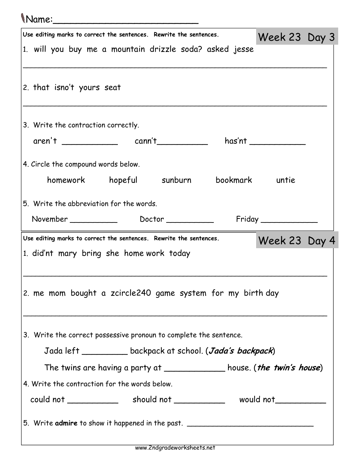## Name:\_\_\_\_\_\_\_\_\_\_\_\_\_\_\_\_\_\_\_\_\_\_\_\_\_

| Use editing marks to correct the sentences. Rewrite the sentences.                | Week 23 Day 3         |  |
|-----------------------------------------------------------------------------------|-----------------------|--|
| 1. will you buy me a mountain drizzle soda? asked jesse                           |                       |  |
|                                                                                   |                       |  |
| 2. that isno't yours seat                                                         |                       |  |
|                                                                                   |                       |  |
| 3. Write the contraction correctly.                                               |                       |  |
| aren't _____________ cann't _________                                             | has'nt ______________ |  |
|                                                                                   |                       |  |
| 4. Circle the compound words below.                                               |                       |  |
| homework hopeful sunburn bookmark untie                                           |                       |  |
| 5. Write the abbreviation for the words.                                          |                       |  |
| November _______________ Doctor ______________ Friday ___________                 |                       |  |
| Use editing marks to correct the sentences. Rewrite the sentences.                | Week 23 Day 4         |  |
| 1. did'nt mary bring she home work today                                          |                       |  |
|                                                                                   |                       |  |
| 2. me mom bought a zcircle240 game system for my birth day                        |                       |  |
|                                                                                   |                       |  |
|                                                                                   |                       |  |
| 3. Write the correct possessive pronoun to complete the sentence.                 |                       |  |
| Jada left ___________ backpack at school. (Jada's backpack)                       |                       |  |
| The twins are having a party at ______________ house. ( <i>the twin's house</i> ) |                       |  |
| 4. Write the contraction for the words below.                                     |                       |  |
|                                                                                   |                       |  |
| 5. Write admire to show it happened in the past. _______________________________  |                       |  |
|                                                                                   |                       |  |
|                                                                                   |                       |  |